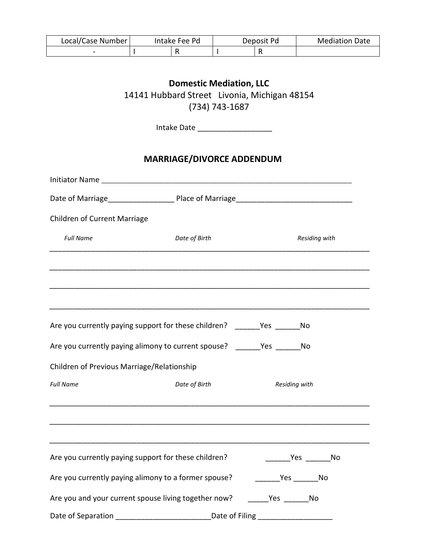| Local/Case Number | Intake Fee Pd | Deposit Pd | <b>Mediation Date</b> |
|-------------------|---------------|------------|-----------------------|
| -                 |               |            |                       |

## **Domestic Mediation, LLC**  14141 Hubbard Street Livonia, Michigan 48154 (734) 743-1687

Intake Date \_\_\_\_\_\_\_\_\_\_\_\_\_\_\_\_\_\_

## **MARRIAGE/DIVORCE ADDENDUM**

| Children of Current Marriage                                                 |               |               |  |
|------------------------------------------------------------------------------|---------------|---------------|--|
| <b>Full Name</b>                                                             | Date of Birth | Residing with |  |
|                                                                              |               |               |  |
| Are you currently paying support for these children? _______Yes ________No   |               |               |  |
| Are you currently paying alimony to current spouse? ________ Yes _______ No  |               |               |  |
| Children of Previous Marriage/Relationship                                   |               |               |  |
| <b>Full Name</b>                                                             | Date of Birth | Residing with |  |
|                                                                              |               |               |  |
| Are you currently paying support for these children?                         |               |               |  |
|                                                                              |               |               |  |
| Are you and your current spouse living together now? ________ Yes _______ No |               |               |  |
|                                                                              |               |               |  |